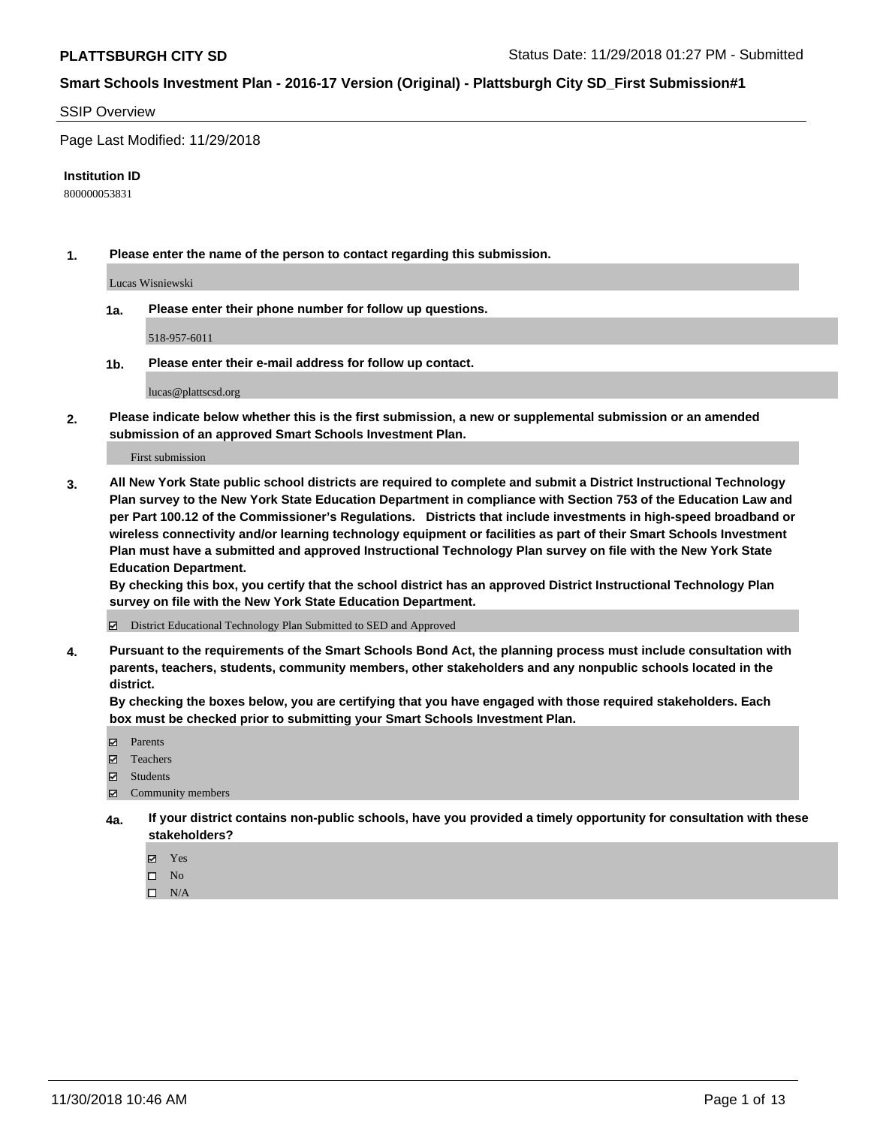### SSIP Overview

Page Last Modified: 11/29/2018

#### **Institution ID**

800000053831

**1. Please enter the name of the person to contact regarding this submission.**

Lucas Wisniewski

**1a. Please enter their phone number for follow up questions.**

518-957-6011

**1b. Please enter their e-mail address for follow up contact.**

lucas@plattscsd.org

**2. Please indicate below whether this is the first submission, a new or supplemental submission or an amended submission of an approved Smart Schools Investment Plan.**

First submission

**3. All New York State public school districts are required to complete and submit a District Instructional Technology Plan survey to the New York State Education Department in compliance with Section 753 of the Education Law and per Part 100.12 of the Commissioner's Regulations. Districts that include investments in high-speed broadband or wireless connectivity and/or learning technology equipment or facilities as part of their Smart Schools Investment Plan must have a submitted and approved Instructional Technology Plan survey on file with the New York State Education Department.** 

**By checking this box, you certify that the school district has an approved District Instructional Technology Plan survey on file with the New York State Education Department.**

District Educational Technology Plan Submitted to SED and Approved

**4. Pursuant to the requirements of the Smart Schools Bond Act, the planning process must include consultation with parents, teachers, students, community members, other stakeholders and any nonpublic schools located in the district.** 

**By checking the boxes below, you are certifying that you have engaged with those required stakeholders. Each box must be checked prior to submitting your Smart Schools Investment Plan.**

- **□** Parents
- Teachers
- Students
- $\boxtimes$  Community members
- **4a. If your district contains non-public schools, have you provided a timely opportunity for consultation with these stakeholders?**
	- Yes
	- $\qquad \qquad$  No
	- $\square$  N/A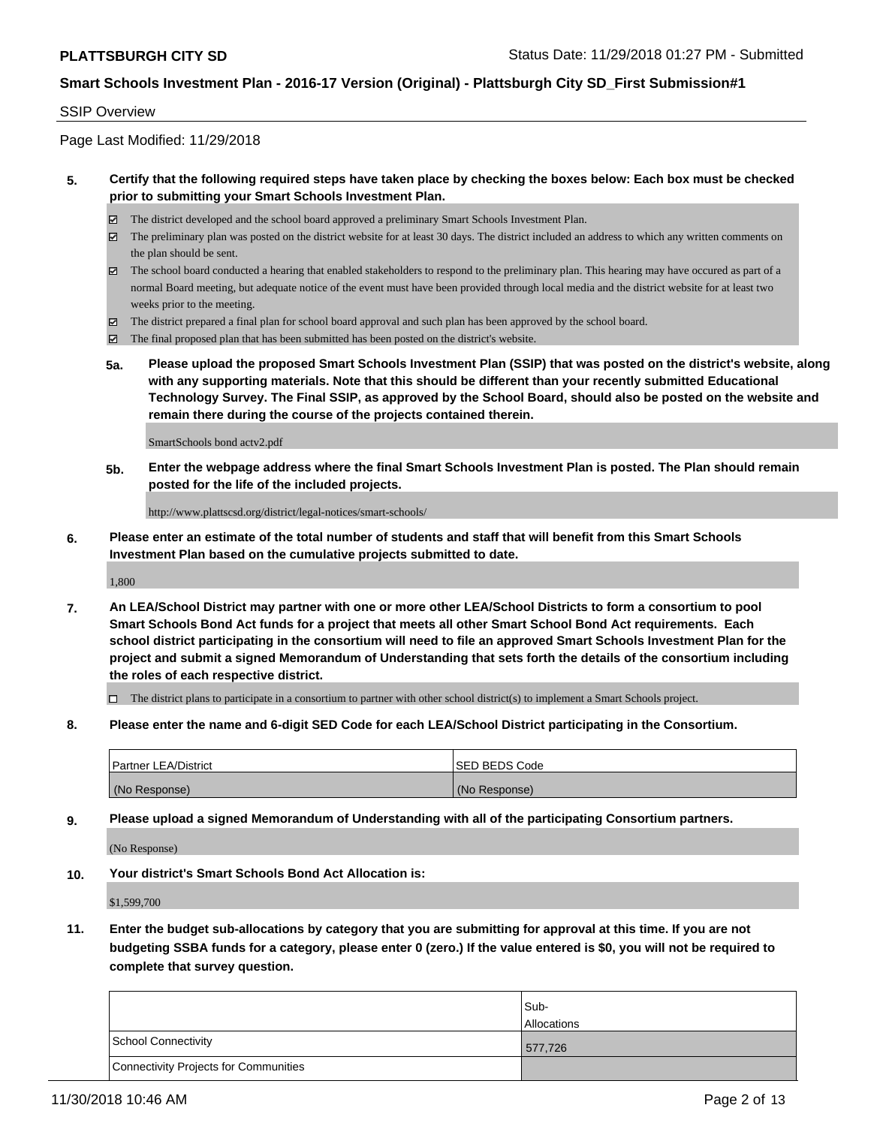### SSIP Overview

Page Last Modified: 11/29/2018

## **5. Certify that the following required steps have taken place by checking the boxes below: Each box must be checked prior to submitting your Smart Schools Investment Plan.**

- The district developed and the school board approved a preliminary Smart Schools Investment Plan.
- The preliminary plan was posted on the district website for at least 30 days. The district included an address to which any written comments on the plan should be sent.
- $\boxtimes$  The school board conducted a hearing that enabled stakeholders to respond to the preliminary plan. This hearing may have occured as part of a normal Board meeting, but adequate notice of the event must have been provided through local media and the district website for at least two weeks prior to the meeting.
- The district prepared a final plan for school board approval and such plan has been approved by the school board.
- $\boxtimes$  The final proposed plan that has been submitted has been posted on the district's website.
- **5a. Please upload the proposed Smart Schools Investment Plan (SSIP) that was posted on the district's website, along with any supporting materials. Note that this should be different than your recently submitted Educational Technology Survey. The Final SSIP, as approved by the School Board, should also be posted on the website and remain there during the course of the projects contained therein.**

SmartSchools bond actv2.pdf

**5b. Enter the webpage address where the final Smart Schools Investment Plan is posted. The Plan should remain posted for the life of the included projects.**

http://www.plattscsd.org/district/legal-notices/smart-schools/

**6. Please enter an estimate of the total number of students and staff that will benefit from this Smart Schools Investment Plan based on the cumulative projects submitted to date.**

1,800

**7. An LEA/School District may partner with one or more other LEA/School Districts to form a consortium to pool Smart Schools Bond Act funds for a project that meets all other Smart School Bond Act requirements. Each school district participating in the consortium will need to file an approved Smart Schools Investment Plan for the project and submit a signed Memorandum of Understanding that sets forth the details of the consortium including the roles of each respective district.**

 $\Box$  The district plans to participate in a consortium to partner with other school district(s) to implement a Smart Schools project.

**8. Please enter the name and 6-digit SED Code for each LEA/School District participating in the Consortium.**

| <b>Partner LEA/District</b> | <b>ISED BEDS Code</b> |
|-----------------------------|-----------------------|
| (No Response)               | (No Response)         |

**9. Please upload a signed Memorandum of Understanding with all of the participating Consortium partners.**

(No Response)

**10. Your district's Smart Schools Bond Act Allocation is:**

\$1,599,700

**11. Enter the budget sub-allocations by category that you are submitting for approval at this time. If you are not budgeting SSBA funds for a category, please enter 0 (zero.) If the value entered is \$0, you will not be required to complete that survey question.**

|                                       | Sub-<br><b>Allocations</b> |
|---------------------------------------|----------------------------|
| School Connectivity                   | 577,726                    |
| Connectivity Projects for Communities |                            |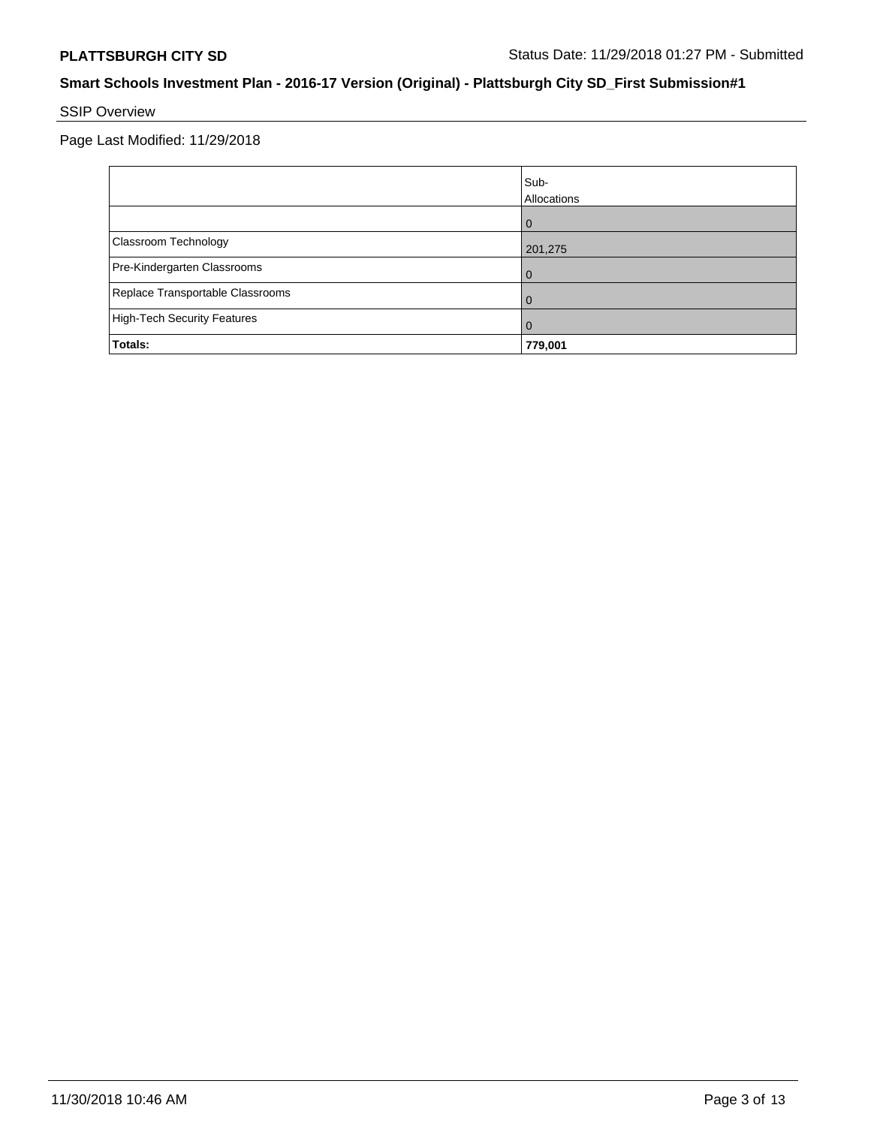# SSIP Overview

Page Last Modified: 11/29/2018

|                                    | Sub-<br>Allocations |
|------------------------------------|---------------------|
|                                    | $\Omega$            |
| Classroom Technology               | 201,275             |
| Pre-Kindergarten Classrooms        | 0                   |
| Replace Transportable Classrooms   | 0                   |
| <b>High-Tech Security Features</b> | 0                   |
| Totals:                            | 779,001             |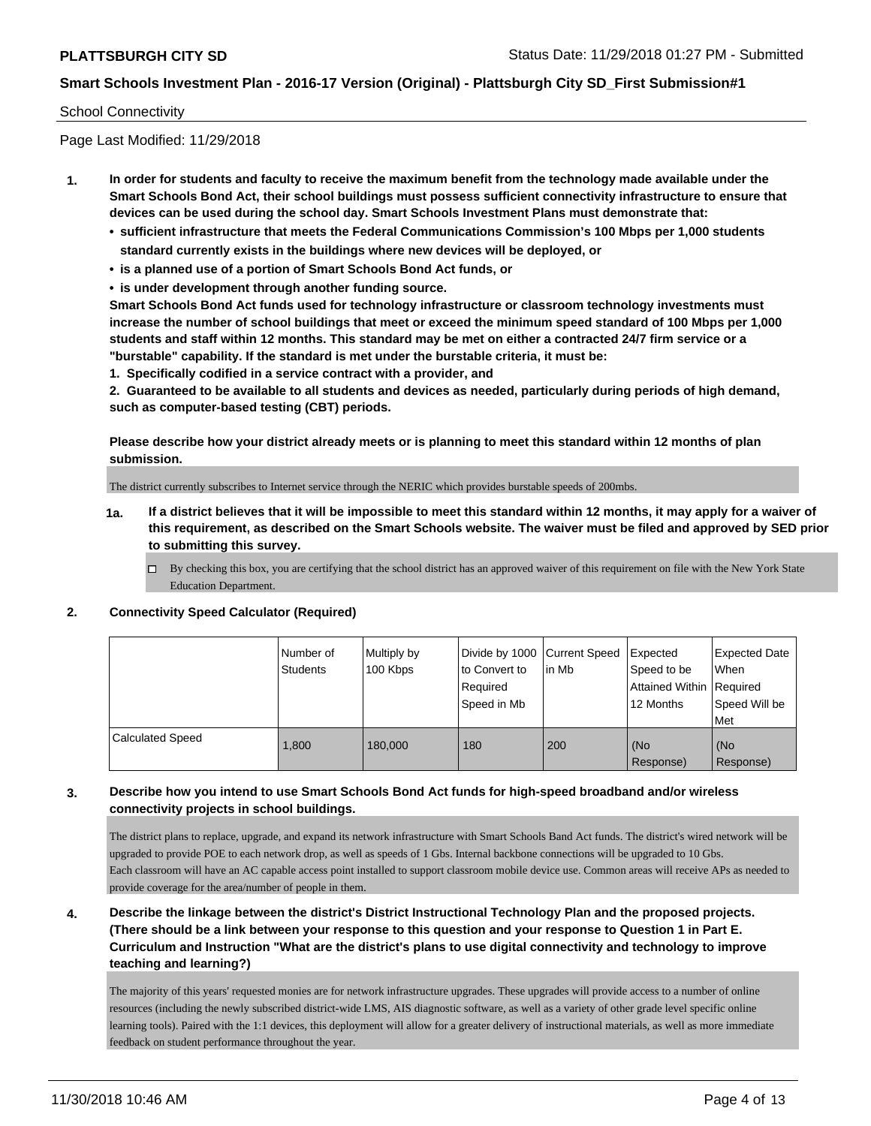### School Connectivity

Page Last Modified: 11/29/2018

- **1. In order for students and faculty to receive the maximum benefit from the technology made available under the Smart Schools Bond Act, their school buildings must possess sufficient connectivity infrastructure to ensure that devices can be used during the school day. Smart Schools Investment Plans must demonstrate that:**
	- **• sufficient infrastructure that meets the Federal Communications Commission's 100 Mbps per 1,000 students standard currently exists in the buildings where new devices will be deployed, or**
	- **• is a planned use of a portion of Smart Schools Bond Act funds, or**
	- **• is under development through another funding source.**

**Smart Schools Bond Act funds used for technology infrastructure or classroom technology investments must increase the number of school buildings that meet or exceed the minimum speed standard of 100 Mbps per 1,000 students and staff within 12 months. This standard may be met on either a contracted 24/7 firm service or a "burstable" capability. If the standard is met under the burstable criteria, it must be:**

**1. Specifically codified in a service contract with a provider, and**

**2. Guaranteed to be available to all students and devices as needed, particularly during periods of high demand, such as computer-based testing (CBT) periods.**

**Please describe how your district already meets or is planning to meet this standard within 12 months of plan submission.**

The district currently subscribes to Internet service through the NERIC which provides burstable speeds of 200mbs.

- **1a. If a district believes that it will be impossible to meet this standard within 12 months, it may apply for a waiver of this requirement, as described on the Smart Schools website. The waiver must be filed and approved by SED prior to submitting this survey.**
	- By checking this box, you are certifying that the school district has an approved waiver of this requirement on file with the New York State Education Department.

### **2. Connectivity Speed Calculator (Required)**

|                         | Number of<br><b>Students</b> | Multiply by<br>100 Kbps | Divide by 1000 Current Speed<br>to Convert to<br>Required<br>Speed in Mb | lin Mb | Expected<br>Speed to be<br>Attained Within Required<br>12 Months | <b>Expected Date</b><br><b>When</b><br>Speed Will be<br>l Met |
|-------------------------|------------------------------|-------------------------|--------------------------------------------------------------------------|--------|------------------------------------------------------------------|---------------------------------------------------------------|
| <b>Calculated Speed</b> | 1,800                        | 180,000                 | 180                                                                      | 200    | (No<br>Response)                                                 | l (No<br>Response)                                            |

## **3. Describe how you intend to use Smart Schools Bond Act funds for high-speed broadband and/or wireless connectivity projects in school buildings.**

The district plans to replace, upgrade, and expand its network infrastructure with Smart Schools Band Act funds. The district's wired network will be upgraded to provide POE to each network drop, as well as speeds of 1 Gbs. Internal backbone connections will be upgraded to 10 Gbs. Each classroom will have an AC capable access point installed to support classroom mobile device use. Common areas will receive APs as needed to provide coverage for the area/number of people in them.

**4. Describe the linkage between the district's District Instructional Technology Plan and the proposed projects. (There should be a link between your response to this question and your response to Question 1 in Part E. Curriculum and Instruction "What are the district's plans to use digital connectivity and technology to improve teaching and learning?)**

The majority of this years' requested monies are for network infrastructure upgrades. These upgrades will provide access to a number of online resources (including the newly subscribed district-wide LMS, AIS diagnostic software, as well as a variety of other grade level specific online learning tools). Paired with the 1:1 devices, this deployment will allow for a greater delivery of instructional materials, as well as more immediate feedback on student performance throughout the year.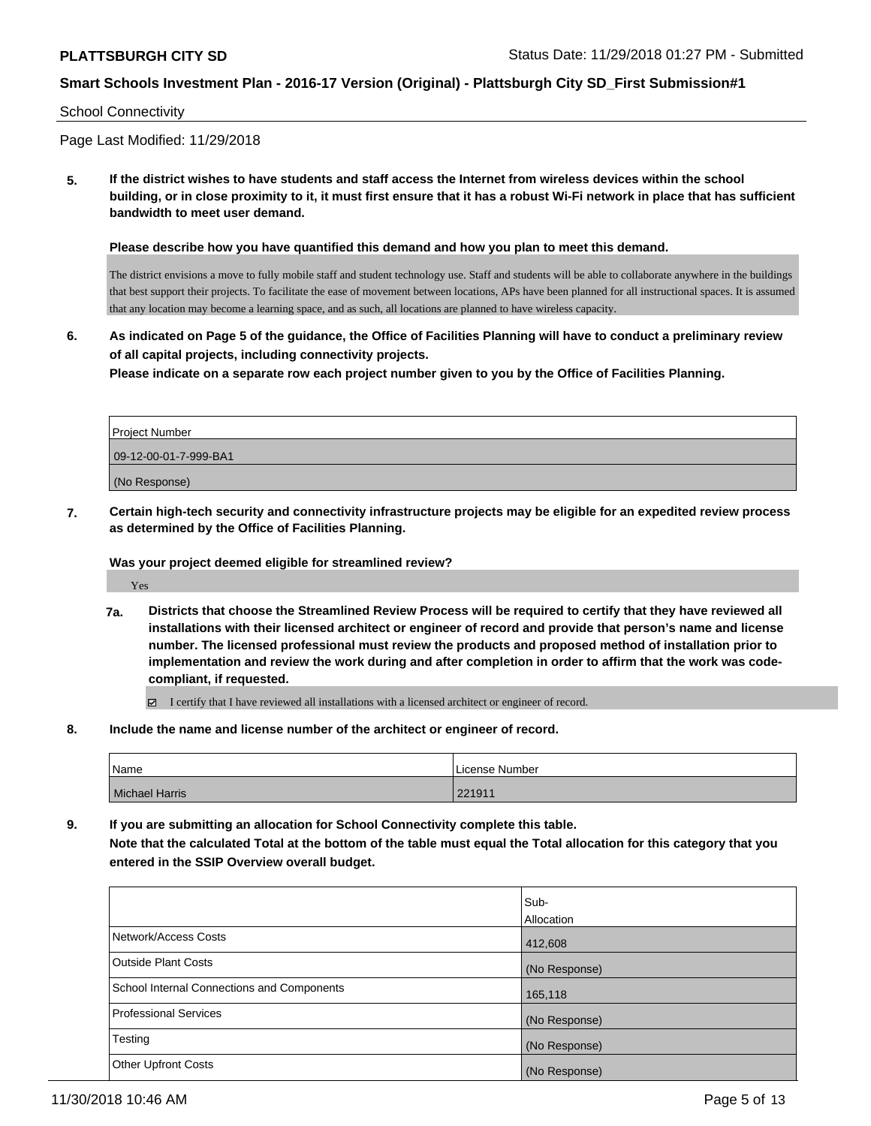### School Connectivity

Page Last Modified: 11/29/2018

**5. If the district wishes to have students and staff access the Internet from wireless devices within the school building, or in close proximity to it, it must first ensure that it has a robust Wi-Fi network in place that has sufficient bandwidth to meet user demand.**

**Please describe how you have quantified this demand and how you plan to meet this demand.**

The district envisions a move to fully mobile staff and student technology use. Staff and students will be able to collaborate anywhere in the buildings that best support their projects. To facilitate the ease of movement between locations, APs have been planned for all instructional spaces. It is assumed that any location may become a learning space, and as such, all locations are planned to have wireless capacity.

**6. As indicated on Page 5 of the guidance, the Office of Facilities Planning will have to conduct a preliminary review of all capital projects, including connectivity projects.**

**Please indicate on a separate row each project number given to you by the Office of Facilities Planning.**

| <b>Project Number</b> |
|-----------------------|
| 09-12-00-01-7-999-BA1 |
| (No Response)         |

**7. Certain high-tech security and connectivity infrastructure projects may be eligible for an expedited review process as determined by the Office of Facilities Planning.**

### **Was your project deemed eligible for streamlined review?**

Yes

**7a. Districts that choose the Streamlined Review Process will be required to certify that they have reviewed all installations with their licensed architect or engineer of record and provide that person's name and license number. The licensed professional must review the products and proposed method of installation prior to implementation and review the work during and after completion in order to affirm that the work was codecompliant, if requested.**

I certify that I have reviewed all installations with a licensed architect or engineer of record.

**8. Include the name and license number of the architect or engineer of record.**

| Name                  | License Number |
|-----------------------|----------------|
| <b>Michael Harris</b> | 221911         |

**9. If you are submitting an allocation for School Connectivity complete this table. Note that the calculated Total at the bottom of the table must equal the Total allocation for this category that you entered in the SSIP Overview overall budget.** 

|                                            | lSub-<br>Allocation |
|--------------------------------------------|---------------------|
| Network/Access Costs                       | 412,608             |
| <b>Outside Plant Costs</b>                 | (No Response)       |
| School Internal Connections and Components | 165,118             |
| <b>Professional Services</b>               | (No Response)       |
| Testing                                    | (No Response)       |
| <b>Other Upfront Costs</b>                 | (No Response)       |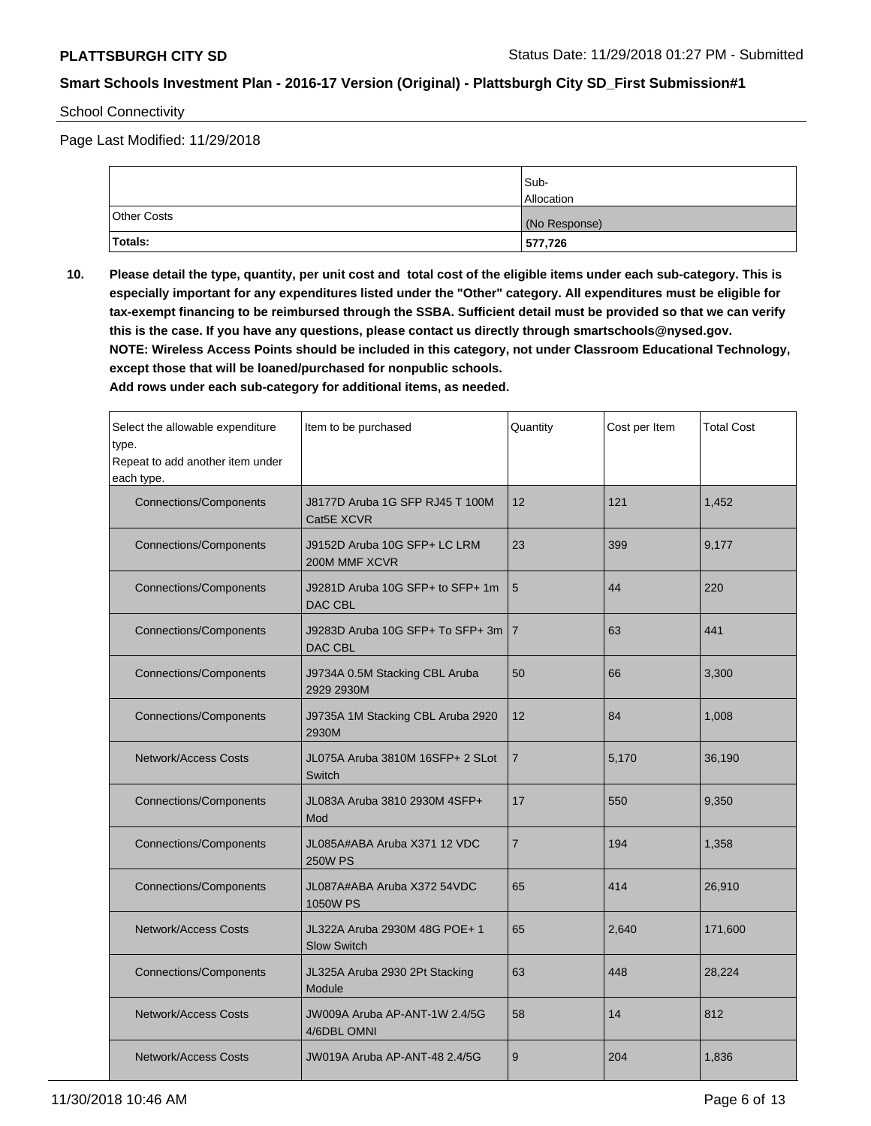School Connectivity

Page Last Modified: 11/29/2018

|                    | Sub-<br><b>Allocation</b> |
|--------------------|---------------------------|
| <b>Other Costs</b> | (No Response)             |
| Totals:            | 577,726                   |

**10. Please detail the type, quantity, per unit cost and total cost of the eligible items under each sub-category. This is especially important for any expenditures listed under the "Other" category. All expenditures must be eligible for tax-exempt financing to be reimbursed through the SSBA. Sufficient detail must be provided so that we can verify this is the case. If you have any questions, please contact us directly through smartschools@nysed.gov. NOTE: Wireless Access Points should be included in this category, not under Classroom Educational Technology, except those that will be loaned/purchased for nonpublic schools.**

**Add rows under each sub-category for additional items, as needed.**

| Select the allowable expenditure<br>type.<br>Repeat to add another item under<br>each type. | Item to be purchased                                | Quantity       | Cost per Item | <b>Total Cost</b> |
|---------------------------------------------------------------------------------------------|-----------------------------------------------------|----------------|---------------|-------------------|
| <b>Connections/Components</b>                                                               | J8177D Aruba 1G SFP RJ45 T 100M<br>Cat5E XCVR       | 12             | 121           | 1,452             |
| <b>Connections/Components</b>                                                               | J9152D Aruba 10G SFP+ LC LRM<br>200M MMF XCVR       | 23             | 399           | 9,177             |
| <b>Connections/Components</b>                                                               | J9281D Aruba 10G SFP+ to SFP+ 1m<br>DAC CBL         | 5              | 44            | 220               |
| <b>Connections/Components</b>                                                               | J9283D Aruba 10G SFP+ To SFP+ 3m<br>DAC CBL         | $\overline{7}$ | 63            | 441               |
| <b>Connections/Components</b>                                                               | J9734A 0.5M Stacking CBL Aruba<br>50<br>2929 2930M  |                | 66            | 3,300             |
| <b>Connections/Components</b>                                                               | J9735A 1M Stacking CBL Aruba 2920<br>2930M          | 12             | 84            | 1,008             |
| <b>Network/Access Costs</b>                                                                 | JL075A Aruba 3810M 16SFP+ 2 SLot<br>Switch          | $\overline{7}$ | 5,170         | 36,190            |
| <b>Connections/Components</b>                                                               | JL083A Aruba 3810 2930M 4SFP+<br>Mod                | 17             | 550           | 9,350             |
| <b>Connections/Components</b>                                                               | JL085A#ABA Aruba X371 12 VDC<br><b>250W PS</b>      |                | 194           | 1,358             |
| <b>Connections/Components</b>                                                               | JL087A#ABA Aruba X372 54VDC<br>1050W PS             |                | 414           | 26,910            |
| <b>Network/Access Costs</b>                                                                 | JL322A Aruba 2930M 48G POE+ 1<br><b>Slow Switch</b> |                | 2,640         | 171,600           |
| <b>Connections/Components</b>                                                               | JL325A Aruba 2930 2Pt Stacking<br>Module            | 63             | 448           | 28,224            |
| <b>Network/Access Costs</b>                                                                 | JW009A Aruba AP-ANT-1W 2.4/5G<br>4/6DBL OMNI        | 58             | 14            | 812               |
| JW019A Aruba AP-ANT-48 2.4/5G<br><b>Network/Access Costs</b>                                |                                                     | 9              | 204           | 1,836             |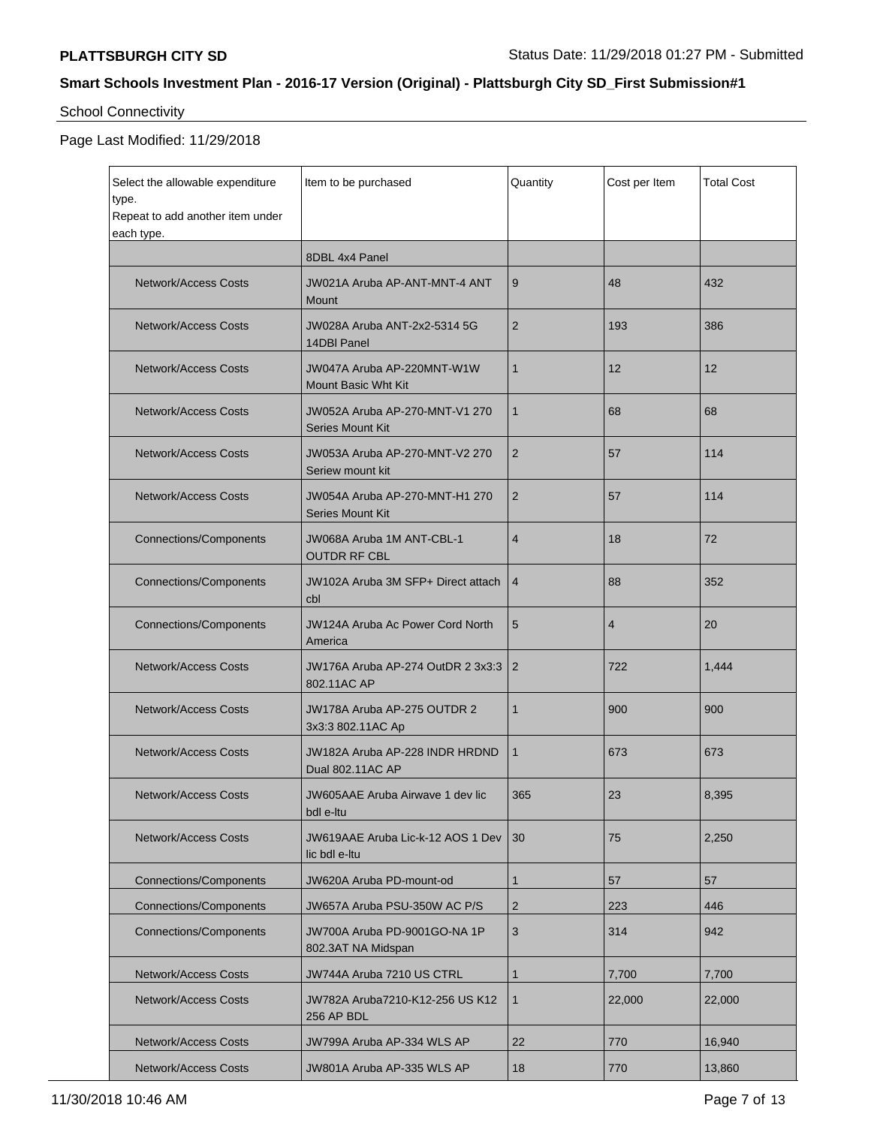# School Connectivity

## Page Last Modified: 11/29/2018

| Select the allowable expenditure<br>type.<br>Repeat to add another item under | Item to be purchased                                      | Quantity       | Cost per Item  | <b>Total Cost</b> |
|-------------------------------------------------------------------------------|-----------------------------------------------------------|----------------|----------------|-------------------|
| each type.                                                                    | 8DBL 4x4 Panel                                            |                |                |                   |
| <b>Network/Access Costs</b>                                                   | JW021A Aruba AP-ANT-MNT-4 ANT<br><b>Mount</b>             | 9              | 48             | 432               |
| Network/Access Costs                                                          | JW028A Aruba ANT-2x2-5314 5G<br>14DBI Panel               | 2              | 193            | 386               |
| <b>Network/Access Costs</b>                                                   | JW047A Aruba AP-220MNT-W1W<br><b>Mount Basic Wht Kit</b>  | $\mathbf{1}$   | 12             | 12                |
| Network/Access Costs                                                          | JW052A Aruba AP-270-MNT-V1 270<br><b>Series Mount Kit</b> | 1              | 68             | 68                |
| <b>Network/Access Costs</b>                                                   | JW053A Aruba AP-270-MNT-V2 270<br>Seriew mount kit        | 2              | 57             | 114               |
| Network/Access Costs                                                          | JW054A Aruba AP-270-MNT-H1 270<br><b>Series Mount Kit</b> | 2              | 57             | 114               |
| <b>Connections/Components</b>                                                 | JW068A Aruba 1M ANT-CBL-1<br><b>OUTDR RF CBL</b>          | 4              | 18             | 72                |
| <b>Connections/Components</b>                                                 | JW102A Aruba 3M SFP+ Direct attach<br>cbl                 | $\overline{4}$ | 88             | 352               |
| <b>Connections/Components</b>                                                 | <b>JW124A Aruba Ac Power Cord North</b><br>America        | 5              | $\overline{4}$ | 20                |
| Network/Access Costs                                                          | JW176A Aruba AP-274 OutDR 2 3x3:3<br>802.11AC AP          | 2              | 722            | 1,444             |
| Network/Access Costs                                                          | JW178A Aruba AP-275 OUTDR 2<br>3x3:3 802.11AC Ap          | 1              | 900            | 900               |
| Network/Access Costs                                                          | JW182A Aruba AP-228 INDR HRDND<br>Dual 802.11AC AP        | 1              | 673            | 673               |
| <b>Network/Access Costs</b>                                                   | JW605AAE Aruba Airwave 1 dev lic<br>bdl e-ltu             | 365            | 23             | 8,395             |
| Network/Access Costs                                                          | JW619AAE Aruba Lic-k-12 AOS 1 Dev<br>lic bdl e-ltu        | 30             | 75             | 2,250             |
| <b>Connections/Components</b>                                                 | JW620A Aruba PD-mount-od                                  | 1              | 57             | 57                |
| <b>Connections/Components</b>                                                 | JW657A Aruba PSU-350W AC P/S                              | 2              | 223            | 446               |
| <b>Connections/Components</b>                                                 | JW700A Aruba PD-9001GO-NA 1P<br>802.3AT NA Midspan        | 3              | 314            | 942               |
| Network/Access Costs                                                          | JW744A Aruba 7210 US CTRL                                 | 1              | 7,700          | 7,700             |
| <b>Network/Access Costs</b>                                                   | JW782A Aruba7210-K12-256 US K12<br>256 AP BDL             | 1              | 22,000         | 22,000            |
| Network/Access Costs                                                          | JW799A Aruba AP-334 WLS AP                                | 22             | 770            | 16,940            |
| Network/Access Costs<br>JW801A Aruba AP-335 WLS AP                            |                                                           | 18             | 770            | 13,860            |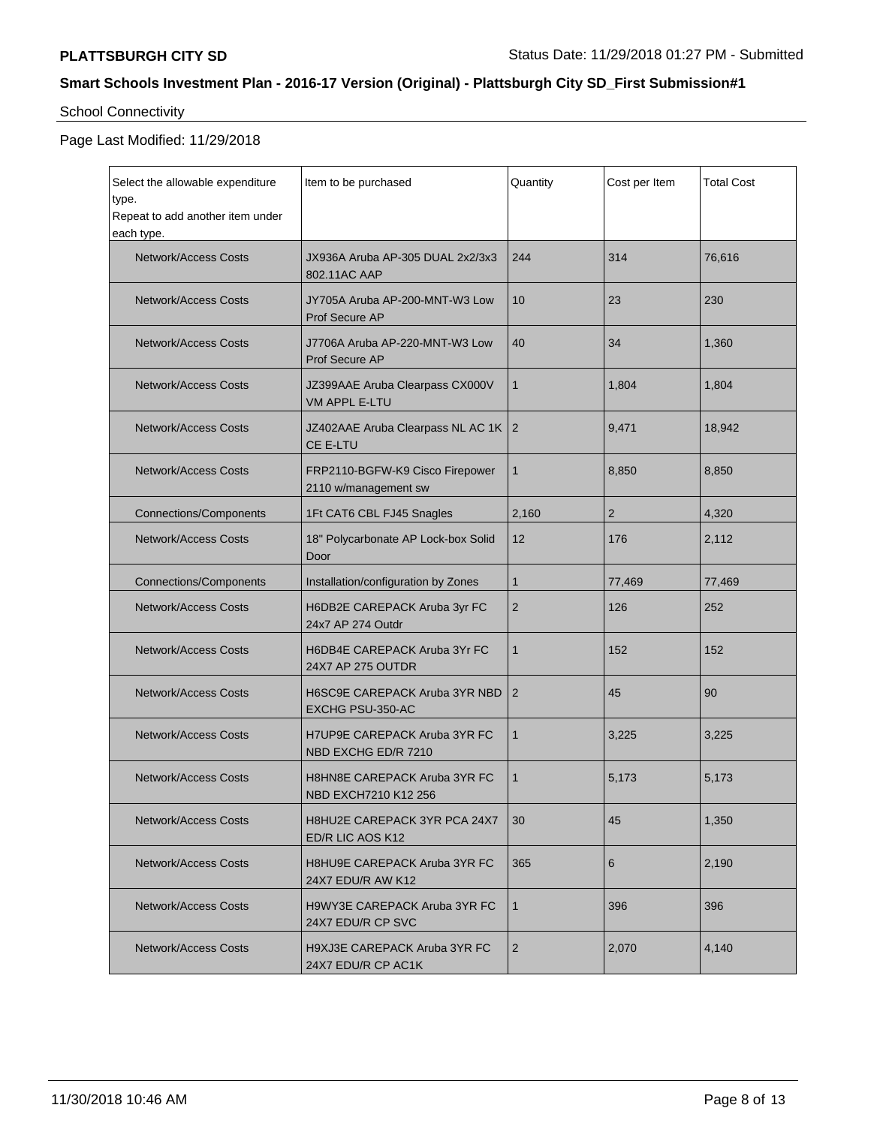# School Connectivity

## Page Last Modified: 11/29/2018

| Select the allowable expenditure<br>type.<br>Repeat to add another item under<br>each type. | Item to be purchased                                     | Quantity       | Cost per Item  | <b>Total Cost</b> |
|---------------------------------------------------------------------------------------------|----------------------------------------------------------|----------------|----------------|-------------------|
| <b>Network/Access Costs</b>                                                                 | JX936A Aruba AP-305 DUAL 2x2/3x3<br>802.11AC AAP         | 244            | 314            | 76,616            |
| <b>Network/Access Costs</b>                                                                 | JY705A Aruba AP-200-MNT-W3 Low<br>Prof Secure AP         | 10             | 23             | 230               |
| Network/Access Costs                                                                        | J7706A Aruba AP-220-MNT-W3 Low<br><b>Prof Secure AP</b>  | 40             | 34             | 1,360             |
| <b>Network/Access Costs</b>                                                                 | JZ399AAE Aruba Clearpass CX000V<br><b>VM APPL E-LTU</b>  | 1              | 1,804          | 1,804             |
| <b>Network/Access Costs</b>                                                                 | JZ402AAE Aruba Clearpass NL AC 1K<br>CE E-LTU            | $\overline{2}$ | 9,471          | 18,942            |
| <b>Network/Access Costs</b>                                                                 | FRP2110-BGFW-K9 Cisco Firepower<br>2110 w/management sw  | $\mathbf{1}$   | 8,850          | 8,850             |
| <b>Connections/Components</b>                                                               | 1Ft CAT6 CBL FJ45 Snagles                                | 2,160          | $\overline{2}$ | 4,320             |
| <b>Network/Access Costs</b>                                                                 | 18" Polycarbonate AP Lock-box Solid<br>Door              |                | 176            | 2,112             |
| <b>Connections/Components</b>                                                               | Installation/configuration by Zones                      | 1              | 77,469         | 77,469            |
| <b>Network/Access Costs</b>                                                                 | H6DB2E CAREPACK Aruba 3yr FC<br>24x7 AP 274 Outdr        | $\overline{2}$ | 126            | 252               |
| <b>Network/Access Costs</b>                                                                 | H6DB4E CAREPACK Aruba 3Yr FC<br>24X7 AP 275 OUTDR        |                | 152            | 152               |
| <b>Network/Access Costs</b>                                                                 | <b>H6SC9E CAREPACK Aruba 3YR NBD</b><br>EXCHG PSU-350-AC |                | 45             | 90                |
| <b>Network/Access Costs</b>                                                                 | H7UP9E CAREPACK Aruba 3YR FC<br>NBD EXCHG ED/R 7210      | 1              | 3,225          | 3,225             |
| <b>Network/Access Costs</b>                                                                 | H8HN8E CAREPACK Aruba 3YR FC<br>NBD EXCH7210 K12 256     |                | 5,173          | 5,173             |
| <b>Network/Access Costs</b>                                                                 | H8HU2E CAREPACK 3YR PCA 24X7<br>ED/R LIC AOS K12         | 30             | 45             | 1,350             |
| Network/Access Costs                                                                        | <b>H8HU9E CAREPACK Aruba 3YR FC</b><br>24X7 EDU/R AW K12 | 365            | 6              | 2,190             |
| Network/Access Costs                                                                        | <b>H9WY3E CAREPACK Aruba 3YR FC</b><br>24X7 EDU/R CP SVC | $\mathbf{1}$   | 396            | 396               |
| <b>Network/Access Costs</b><br>H9XJ3E CAREPACK Aruba 3YR FC<br>24X7 EDU/R CP AC1K           |                                                          | $\overline{2}$ | 2,070          | 4,140             |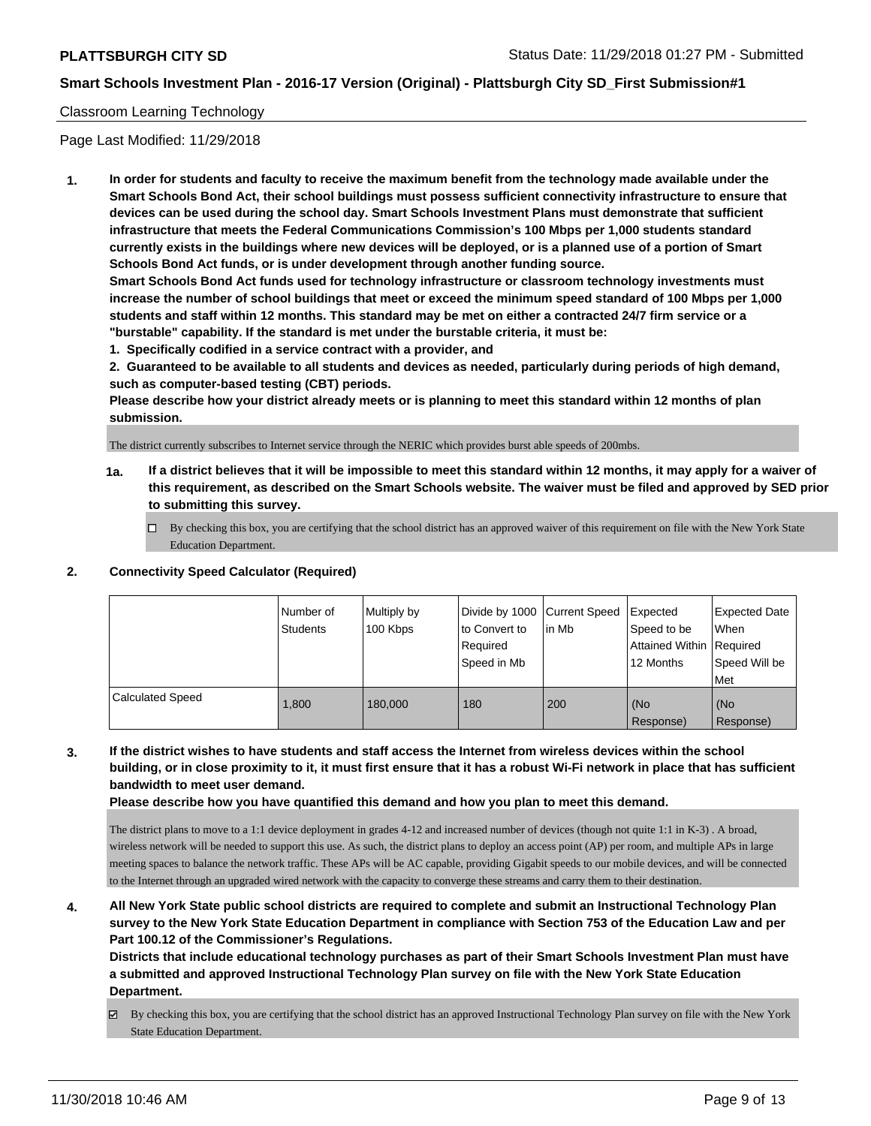## Classroom Learning Technology

Page Last Modified: 11/29/2018

**1. In order for students and faculty to receive the maximum benefit from the technology made available under the Smart Schools Bond Act, their school buildings must possess sufficient connectivity infrastructure to ensure that devices can be used during the school day. Smart Schools Investment Plans must demonstrate that sufficient infrastructure that meets the Federal Communications Commission's 100 Mbps per 1,000 students standard currently exists in the buildings where new devices will be deployed, or is a planned use of a portion of Smart Schools Bond Act funds, or is under development through another funding source.**

**Smart Schools Bond Act funds used for technology infrastructure or classroom technology investments must increase the number of school buildings that meet or exceed the minimum speed standard of 100 Mbps per 1,000 students and staff within 12 months. This standard may be met on either a contracted 24/7 firm service or a "burstable" capability. If the standard is met under the burstable criteria, it must be:**

**1. Specifically codified in a service contract with a provider, and**

**2. Guaranteed to be available to all students and devices as needed, particularly during periods of high demand, such as computer-based testing (CBT) periods.**

**Please describe how your district already meets or is planning to meet this standard within 12 months of plan submission.**

The district currently subscribes to Internet service through the NERIC which provides burst able speeds of 200mbs.

- **1a. If a district believes that it will be impossible to meet this standard within 12 months, it may apply for a waiver of this requirement, as described on the Smart Schools website. The waiver must be filed and approved by SED prior to submitting this survey.**
	- By checking this box, you are certifying that the school district has an approved waiver of this requirement on file with the New York State Education Department.

### **2. Connectivity Speed Calculator (Required)**

|                         | I Number of<br>Students | Multiply by<br>100 Kbps | Divide by 1000 Current Speed<br>to Convert to<br>Required<br>Speed in Mb | in Mb | Expected<br>Speed to be<br>Attained Within Required<br>12 Months | <b>Expected Date</b><br>When<br>Speed Will be<br>Met |
|-------------------------|-------------------------|-------------------------|--------------------------------------------------------------------------|-------|------------------------------------------------------------------|------------------------------------------------------|
| <b>Calculated Speed</b> | 1.800                   | 180,000                 | 180                                                                      | 200   | (No<br>Response)                                                 | (No<br>Response)                                     |

## **3. If the district wishes to have students and staff access the Internet from wireless devices within the school building, or in close proximity to it, it must first ensure that it has a robust Wi-Fi network in place that has sufficient bandwidth to meet user demand.**

**Please describe how you have quantified this demand and how you plan to meet this demand.**

The district plans to move to a 1:1 device deployment in grades 4-12 and increased number of devices (though not quite 1:1 in K-3) . A broad, wireless network will be needed to support this use. As such, the district plans to deploy an access point (AP) per room, and multiple APs in large meeting spaces to balance the network traffic. These APs will be AC capable, providing Gigabit speeds to our mobile devices, and will be connected to the Internet through an upgraded wired network with the capacity to converge these streams and carry them to their destination.

## **4. All New York State public school districts are required to complete and submit an Instructional Technology Plan survey to the New York State Education Department in compliance with Section 753 of the Education Law and per Part 100.12 of the Commissioner's Regulations.**

**Districts that include educational technology purchases as part of their Smart Schools Investment Plan must have a submitted and approved Instructional Technology Plan survey on file with the New York State Education Department.**

By checking this box, you are certifying that the school district has an approved Instructional Technology Plan survey on file with the New York State Education Department.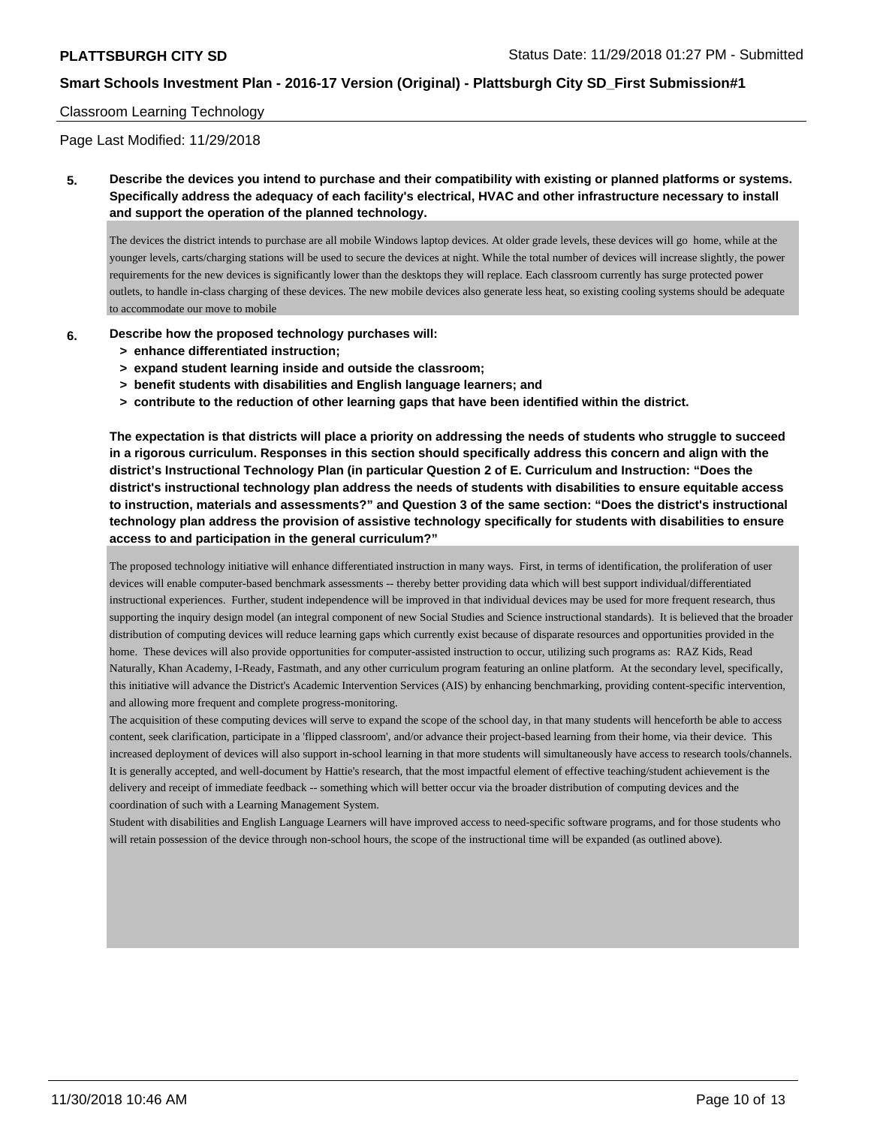### Classroom Learning Technology

Page Last Modified: 11/29/2018

**5. Describe the devices you intend to purchase and their compatibility with existing or planned platforms or systems. Specifically address the adequacy of each facility's electrical, HVAC and other infrastructure necessary to install and support the operation of the planned technology.**

The devices the district intends to purchase are all mobile Windows laptop devices. At older grade levels, these devices will go home, while at the younger levels, carts/charging stations will be used to secure the devices at night. While the total number of devices will increase slightly, the power requirements for the new devices is significantly lower than the desktops they will replace. Each classroom currently has surge protected power outlets, to handle in-class charging of these devices. The new mobile devices also generate less heat, so existing cooling systems should be adequate to accommodate our move to mobile

- **6. Describe how the proposed technology purchases will:**
	- **> enhance differentiated instruction;**
	- **> expand student learning inside and outside the classroom;**
	- **> benefit students with disabilities and English language learners; and**
	- **> contribute to the reduction of other learning gaps that have been identified within the district.**

**The expectation is that districts will place a priority on addressing the needs of students who struggle to succeed in a rigorous curriculum. Responses in this section should specifically address this concern and align with the district's Instructional Technology Plan (in particular Question 2 of E. Curriculum and Instruction: "Does the district's instructional technology plan address the needs of students with disabilities to ensure equitable access to instruction, materials and assessments?" and Question 3 of the same section: "Does the district's instructional technology plan address the provision of assistive technology specifically for students with disabilities to ensure access to and participation in the general curriculum?"**

The proposed technology initiative will enhance differentiated instruction in many ways. First, in terms of identification, the proliferation of user devices will enable computer-based benchmark assessments -- thereby better providing data which will best support individual/differentiated instructional experiences. Further, student independence will be improved in that individual devices may be used for more frequent research, thus supporting the inquiry design model (an integral component of new Social Studies and Science instructional standards). It is believed that the broader distribution of computing devices will reduce learning gaps which currently exist because of disparate resources and opportunities provided in the home. These devices will also provide opportunities for computer-assisted instruction to occur, utilizing such programs as: RAZ Kids, Read Naturally, Khan Academy, I-Ready, Fastmath, and any other curriculum program featuring an online platform. At the secondary level, specifically, this initiative will advance the District's Academic Intervention Services (AIS) by enhancing benchmarking, providing content-specific intervention, and allowing more frequent and complete progress-monitoring.

The acquisition of these computing devices will serve to expand the scope of the school day, in that many students will henceforth be able to access content, seek clarification, participate in a 'flipped classroom', and/or advance their project-based learning from their home, via their device. This increased deployment of devices will also support in-school learning in that more students will simultaneously have access to research tools/channels. It is generally accepted, and well-document by Hattie's research, that the most impactful element of effective teaching/student achievement is the delivery and receipt of immediate feedback -- something which will better occur via the broader distribution of computing devices and the coordination of such with a Learning Management System.

Student with disabilities and English Language Learners will have improved access to need-specific software programs, and for those students who will retain possession of the device through non-school hours, the scope of the instructional time will be expanded (as outlined above).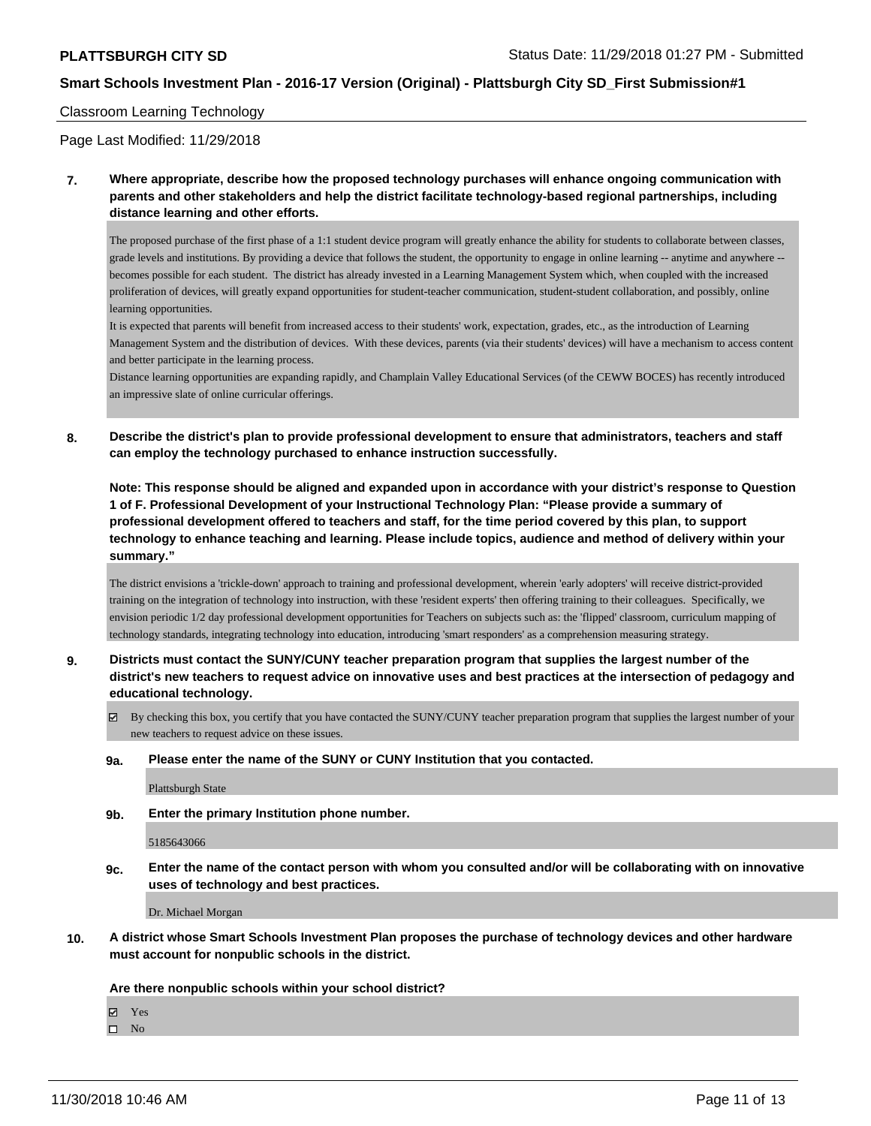### Classroom Learning Technology

Page Last Modified: 11/29/2018

**7. Where appropriate, describe how the proposed technology purchases will enhance ongoing communication with parents and other stakeholders and help the district facilitate technology-based regional partnerships, including distance learning and other efforts.**

The proposed purchase of the first phase of a 1:1 student device program will greatly enhance the ability for students to collaborate between classes, grade levels and institutions. By providing a device that follows the student, the opportunity to engage in online learning -- anytime and anywhere - becomes possible for each student. The district has already invested in a Learning Management System which, when coupled with the increased proliferation of devices, will greatly expand opportunities for student-teacher communication, student-student collaboration, and possibly, online learning opportunities.

It is expected that parents will benefit from increased access to their students' work, expectation, grades, etc., as the introduction of Learning Management System and the distribution of devices. With these devices, parents (via their students' devices) will have a mechanism to access content and better participate in the learning process.

Distance learning opportunities are expanding rapidly, and Champlain Valley Educational Services (of the CEWW BOCES) has recently introduced an impressive slate of online curricular offerings.

**8. Describe the district's plan to provide professional development to ensure that administrators, teachers and staff can employ the technology purchased to enhance instruction successfully.**

**Note: This response should be aligned and expanded upon in accordance with your district's response to Question 1 of F. Professional Development of your Instructional Technology Plan: "Please provide a summary of professional development offered to teachers and staff, for the time period covered by this plan, to support technology to enhance teaching and learning. Please include topics, audience and method of delivery within your summary."**

The district envisions a 'trickle-down' approach to training and professional development, wherein 'early adopters' will receive district-provided training on the integration of technology into instruction, with these 'resident experts' then offering training to their colleagues. Specifically, we envision periodic 1/2 day professional development opportunities for Teachers on subjects such as: the 'flipped' classroom, curriculum mapping of technology standards, integrating technology into education, introducing 'smart responders' as a comprehension measuring strategy.

## **9. Districts must contact the SUNY/CUNY teacher preparation program that supplies the largest number of the district's new teachers to request advice on innovative uses and best practices at the intersection of pedagogy and educational technology.**

By checking this box, you certify that you have contacted the SUNY/CUNY teacher preparation program that supplies the largest number of your new teachers to request advice on these issues.

### **9a. Please enter the name of the SUNY or CUNY Institution that you contacted.**

Plattsburgh State

**9b. Enter the primary Institution phone number.**

5185643066

**9c. Enter the name of the contact person with whom you consulted and/or will be collaborating with on innovative uses of technology and best practices.**

Dr. Michael Morgan

**10. A district whose Smart Schools Investment Plan proposes the purchase of technology devices and other hardware must account for nonpublic schools in the district.**

**Are there nonpublic schools within your school district?**

Yes

 $\square$  No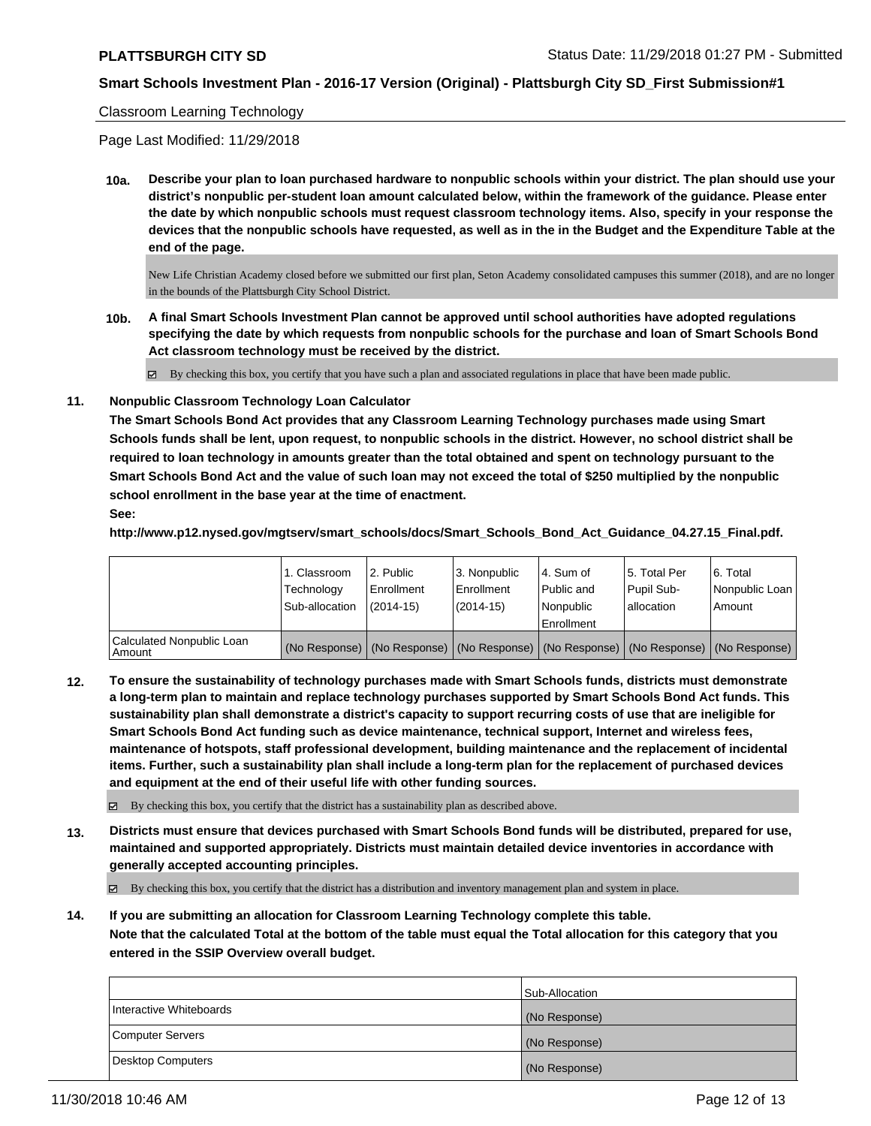#### Classroom Learning Technology

Page Last Modified: 11/29/2018

**10a. Describe your plan to loan purchased hardware to nonpublic schools within your district. The plan should use your district's nonpublic per-student loan amount calculated below, within the framework of the guidance. Please enter the date by which nonpublic schools must request classroom technology items. Also, specify in your response the devices that the nonpublic schools have requested, as well as in the in the Budget and the Expenditure Table at the end of the page.**

New Life Christian Academy closed before we submitted our first plan, Seton Academy consolidated campuses this summer (2018), and are no longer in the bounds of the Plattsburgh City School District.

**10b. A final Smart Schools Investment Plan cannot be approved until school authorities have adopted regulations specifying the date by which requests from nonpublic schools for the purchase and loan of Smart Schools Bond Act classroom technology must be received by the district.**

By checking this box, you certify that you have such a plan and associated regulations in place that have been made public.

**11. Nonpublic Classroom Technology Loan Calculator**

**The Smart Schools Bond Act provides that any Classroom Learning Technology purchases made using Smart Schools funds shall be lent, upon request, to nonpublic schools in the district. However, no school district shall be required to loan technology in amounts greater than the total obtained and spent on technology pursuant to the Smart Schools Bond Act and the value of such loan may not exceed the total of \$250 multiplied by the nonpublic school enrollment in the base year at the time of enactment.**

## **See:**

**http://www.p12.nysed.gov/mgtserv/smart\_schools/docs/Smart\_Schools\_Bond\_Act\_Guidance\_04.27.15\_Final.pdf.**

|                                       | 1. Classroom<br>Technology<br>Sub-allocation | l 2. Public<br>Enrollment<br>$(2014-15)$ | l 3. Nonpublic<br>Enrollment<br>$(2014-15)$ | l 4. Sum of<br>Public and<br>l Nonpublic<br>Enrollment                                        | 15. Total Per<br>Pupil Sub-<br>allocation | 6. Total<br>Nonpublic Loan<br>Amount |
|---------------------------------------|----------------------------------------------|------------------------------------------|---------------------------------------------|-----------------------------------------------------------------------------------------------|-------------------------------------------|--------------------------------------|
| Calculated Nonpublic Loan<br>l Amount |                                              |                                          |                                             | (No Response)   (No Response)   (No Response)   (No Response)   (No Response)   (No Response) |                                           |                                      |

**12. To ensure the sustainability of technology purchases made with Smart Schools funds, districts must demonstrate a long-term plan to maintain and replace technology purchases supported by Smart Schools Bond Act funds. This sustainability plan shall demonstrate a district's capacity to support recurring costs of use that are ineligible for Smart Schools Bond Act funding such as device maintenance, technical support, Internet and wireless fees, maintenance of hotspots, staff professional development, building maintenance and the replacement of incidental items. Further, such a sustainability plan shall include a long-term plan for the replacement of purchased devices and equipment at the end of their useful life with other funding sources.**

 $\boxtimes$  By checking this box, you certify that the district has a sustainability plan as described above.

**13. Districts must ensure that devices purchased with Smart Schools Bond funds will be distributed, prepared for use, maintained and supported appropriately. Districts must maintain detailed device inventories in accordance with generally accepted accounting principles.**

By checking this box, you certify that the district has a distribution and inventory management plan and system in place.

**14. If you are submitting an allocation for Classroom Learning Technology complete this table. Note that the calculated Total at the bottom of the table must equal the Total allocation for this category that you entered in the SSIP Overview overall budget.**

|                         | Sub-Allocation |
|-------------------------|----------------|
| Interactive Whiteboards | (No Response)  |
| Computer Servers        | (No Response)  |
| Desktop Computers       | (No Response)  |